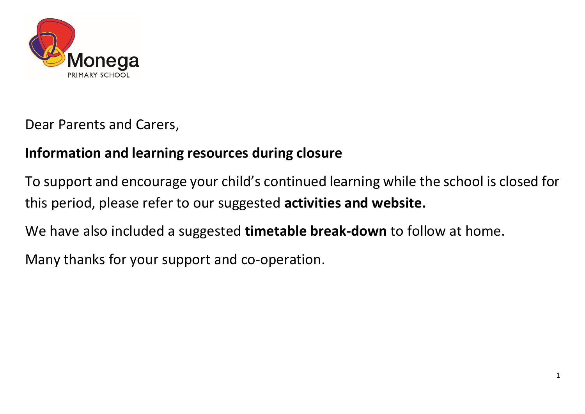

Dear Parents and Carers,

## **Information and learning resources during closure**

To support and encourage your child's continued learning while the school is closed for this period, please refer to our suggested **activities and website.** 

We have also included a suggested **timetable break-down** to follow at home.

Many thanks for your support and co-operation.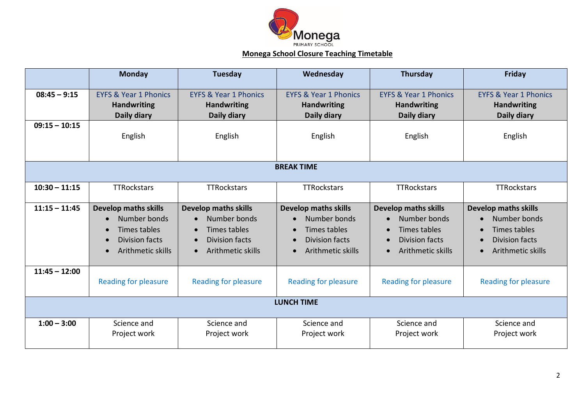

## **Monega School Closure Teaching Timetable**

|                   | <b>Monday</b>                                                                                                                       | <b>Tuesday</b>                                                                                                                            | Wednesday                                                                                                              | Thursday                                                                                           | Friday                                                                                                                       |
|-------------------|-------------------------------------------------------------------------------------------------------------------------------------|-------------------------------------------------------------------------------------------------------------------------------------------|------------------------------------------------------------------------------------------------------------------------|----------------------------------------------------------------------------------------------------|------------------------------------------------------------------------------------------------------------------------------|
| $08:45 - 9:15$    | <b>EYFS &amp; Year 1 Phonics</b><br><b>Handwriting</b><br>Daily diary                                                               | <b>EYFS &amp; Year 1 Phonics</b><br><b>Handwriting</b><br>Daily diary                                                                     | <b>EYFS &amp; Year 1 Phonics</b><br><b>Handwriting</b><br>Daily diary                                                  | <b>EYFS &amp; Year 1 Phonics</b><br><b>Handwriting</b><br>Daily diary                              | <b>EYFS &amp; Year 1 Phonics</b><br><b>Handwriting</b><br>Daily diary                                                        |
| $09:15 - 10:15$   | English                                                                                                                             | English                                                                                                                                   | English                                                                                                                | English                                                                                            | English                                                                                                                      |
| <b>BREAK TIME</b> |                                                                                                                                     |                                                                                                                                           |                                                                                                                        |                                                                                                    |                                                                                                                              |
| $10:30 - 11:15$   | <b>TTRockstars</b>                                                                                                                  | <b>TTRockstars</b>                                                                                                                        | <b>TTRockstars</b>                                                                                                     | <b>TTRockstars</b>                                                                                 | TTRockstars                                                                                                                  |
| $11:15 - 11:45$   | <b>Develop maths skills</b><br>Number bonds<br>Times tables<br><b>Division facts</b><br>$\bullet$<br>Arithmetic skills<br>$\bullet$ | <b>Develop maths skills</b><br>Number bonds<br>Times tables<br>$\bullet$<br>Division facts<br>$\bullet$<br>Arithmetic skills<br>$\bullet$ | <b>Develop maths skills</b><br>Number bonds<br>Times tables<br><b>Division facts</b><br>Arithmetic skills<br>$\bullet$ | <b>Develop maths skills</b><br>Number bonds<br>Times tables<br>Division facts<br>Arithmetic skills | <b>Develop maths skills</b><br>Number bonds<br>Times tables<br>Division facts<br>$\bullet$<br>Arithmetic skills<br>$\bullet$ |
| $11:45 - 12:00$   | <b>Reading for pleasure</b>                                                                                                         | <b>Reading for pleasure</b>                                                                                                               | <b>Reading for pleasure</b>                                                                                            | <b>Reading for pleasure</b>                                                                        | <b>Reading for pleasure</b>                                                                                                  |
| <b>LUNCH TIME</b> |                                                                                                                                     |                                                                                                                                           |                                                                                                                        |                                                                                                    |                                                                                                                              |
| $1:00 - 3:00$     | Science and<br>Project work                                                                                                         | Science and<br>Project work                                                                                                               | Science and<br>Project work                                                                                            | Science and<br>Project work                                                                        | Science and<br>Project work                                                                                                  |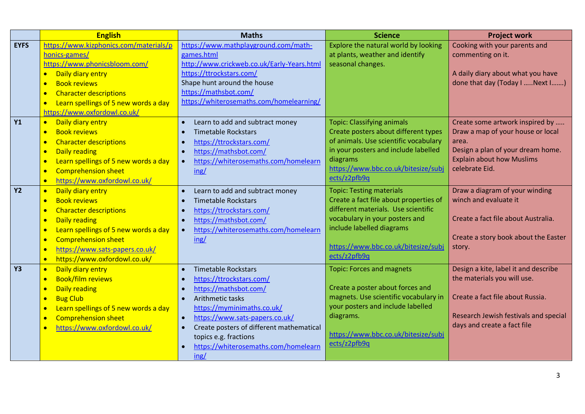|             | <b>English</b>                                    | <b>Maths</b>                                      | <b>Science</b>                         | <b>Project work</b>                   |
|-------------|---------------------------------------------------|---------------------------------------------------|----------------------------------------|---------------------------------------|
| <b>EYFS</b> | https://www.kizphonics.com/materials/p            | https://www.mathplayground.com/math-              | Explore the natural world by looking   | Cooking with your parents and         |
|             | honics-games/                                     | games.html                                        | at plants, weather and identify        | commenting on it.                     |
|             | https://www.phonicsbloom.com/                     | http://www.crickweb.co.uk/Early-Years.html        | seasonal changes.                      |                                       |
|             | Daily diary entry                                 | https://ttrockstars.com/                          |                                        | A daily diary about what you have     |
|             | <b>Book reviews</b>                               | Shape hunt around the house                       |                                        | done that day (Today I  Next I  )     |
|             | <b>Character descriptions</b><br>$\bullet$        | https://mathsbot.com/                             |                                        |                                       |
|             | Learn spellings of 5 new words a day<br>$\bullet$ | https://whiterosemaths.com/homelearning/          |                                        |                                       |
|             | https://www.oxfordowl.co.uk/                      |                                                   |                                        |                                       |
| <b>Y1</b>   | Daily diary entry<br>$\bullet$                    | Learn to add and subtract money<br>$\bullet$      | <b>Topic: Classifying animals</b>      | Create some artwork inspired by       |
|             | <b>Book reviews</b><br>$\bullet$                  | <b>Timetable Rockstars</b>                        | Create posters about different types   | Draw a map of your house or local     |
|             | <b>Character descriptions</b><br>$\bullet$        | https://ttrockstars.com/                          | of animals. Use scientific vocabulary  | area.                                 |
|             | <b>Daily reading</b><br>$\bullet$                 | https://mathsbot.com/<br>$\bullet$                | in your posters and include labelled   | Design a plan of your dream home.     |
|             | Learn spellings of 5 new words a day<br>$\bullet$ | https://whiterosemaths.com/homelearn<br>$\bullet$ | diagrams                               | <b>Explain about how Muslims</b>      |
|             | <b>Comprehension sheet</b>                        | ing/                                              | https://www.bbc.co.uk/bitesize/subj    | celebrate Eid.                        |
|             | https://www.oxfordowl.co.uk/                      |                                                   | ects/z2pfb9q                           |                                       |
| <b>Y2</b>   | Daily diary entry                                 | Learn to add and subtract money<br>$\bullet$      | <b>Topic: Testing materials</b>        | Draw a diagram of your winding        |
|             | <b>Book reviews</b><br>$\bullet$                  | <b>Timetable Rockstars</b>                        | Create a fact file about properties of | winch and evaluate it                 |
|             | <b>Character descriptions</b><br>$\bullet$        | https://ttrockstars.com/                          | different materials. Use scientific    |                                       |
|             | <b>Daily reading</b><br>$\bullet$                 | https://mathsbot.com/                             | vocabulary in your posters and         | Create a fact file about Australia.   |
|             | Learn spellings of 5 new words a day<br>$\bullet$ | https://whiterosemaths.com/homelearn<br>$\bullet$ | include labelled diagrams              |                                       |
|             | <b>Comprehension sheet</b><br>$\bullet$           | ing/                                              |                                        | Create a story book about the Easter  |
|             | https://www.sats-papers.co.uk/<br>$\bullet$       |                                                   | https://www.bbc.co.uk/bitesize/subj    | story.                                |
|             | https://www.oxfordowl.co.uk/<br>$\bullet$         |                                                   | ects/z2pfb9q                           |                                       |
| <b>Y3</b>   | Daily diary entry                                 | <b>Timetable Rockstars</b>                        | <b>Topic: Forces and magnets</b>       | Design a kite, label it and describe  |
|             | <b>Book/film reviews</b><br>$\bullet$             | https://ttrockstars.com/                          |                                        | the materials you will use.           |
|             | <b>Daily reading</b><br>$\bullet$                 | https://mathsbot.com/<br>$\bullet$                | Create a poster about forces and       |                                       |
|             | <b>Bug Club</b><br>$\bullet$                      | Arithmetic tasks                                  | magnets. Use scientific vocabulary in  | Create a fact file about Russia.      |
|             | Learn spellings of 5 new words a day<br>$\bullet$ | https://myminimaths.co.uk/                        | your posters and include labelled      |                                       |
|             | <b>Comprehension sheet</b><br>$\bullet$           | https://www.sats-papers.co.uk/                    | diagrams.                              | Research Jewish festivals and special |
|             | https://www.oxfordowl.co.uk/                      | Create posters of different mathematical          |                                        | days and create a fact file           |
|             |                                                   | topics e.g. fractions                             | https://www.bbc.co.uk/bitesize/subj    |                                       |
|             |                                                   | https://whiterosemaths.com/homelearn              | ects/z2pfb9q                           |                                       |
|             |                                                   | $\frac{ing}{ }$                                   |                                        |                                       |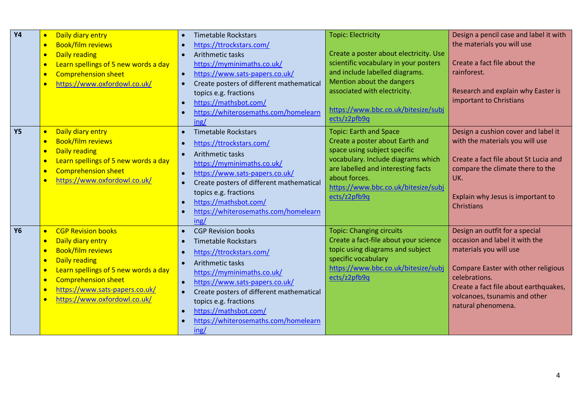| <b>Y4</b> | Daily diary entry<br>$\bullet$<br><b>Book/film reviews</b><br>$\bullet$<br><b>Daily reading</b><br>$\bullet$<br>Learn spellings of 5 new words a day<br>$\bullet$<br><b>Comprehension sheet</b><br>$\bullet$<br>https://www.oxfordowl.co.uk/<br>$\bullet$                                                                                          | <b>Timetable Rockstars</b><br>https://ttrockstars.com/<br>Arithmetic tasks<br>$\bullet$<br>https://myminimaths.co.uk/<br>https://www.sats-papers.co.uk/<br>Create posters of different mathematical<br>$\bullet$<br>topics e.g. fractions<br>https://mathsbot.com/<br>https://whiterosemaths.com/homelearn<br>ing/                                                        | <b>Topic: Electricity</b><br>Create a poster about electricity. Use<br>scientific vocabulary in your posters<br>and include labelled diagrams.<br>Mention about the dangers<br>associated with electricity.<br>https://www.bbc.co.uk/bitesize/subj<br>ects/z2pfb9q | Design a pencil case and label it with<br>the materials you will use<br>Create a fact file about the<br>rainforest.<br>Research and explain why Easter is<br>important to Christians                                                                      |
|-----------|----------------------------------------------------------------------------------------------------------------------------------------------------------------------------------------------------------------------------------------------------------------------------------------------------------------------------------------------------|---------------------------------------------------------------------------------------------------------------------------------------------------------------------------------------------------------------------------------------------------------------------------------------------------------------------------------------------------------------------------|--------------------------------------------------------------------------------------------------------------------------------------------------------------------------------------------------------------------------------------------------------------------|-----------------------------------------------------------------------------------------------------------------------------------------------------------------------------------------------------------------------------------------------------------|
| <b>Y5</b> | Daily diary entry<br>$\bullet$<br><b>Book/film reviews</b><br>$\bullet$<br><b>Daily reading</b><br>$\bullet$<br>Learn spellings of 5 new words a day<br>$\bullet$<br><b>Comprehension sheet</b><br>$\bullet$<br>https://www.oxfordowl.co.uk/<br>$\bullet$                                                                                          | <b>Timetable Rockstars</b><br>$\bullet$<br>https://ttrockstars.com/<br>Arithmetic tasks<br>$\bullet$<br>https://myminimaths.co.uk/<br>https://www.sats-papers.co.uk/<br>Create posters of different mathematical<br>$\bullet$<br>topics e.g. fractions<br>https://mathsbot.com/<br>https://whiterosemaths.com/homelearn<br>$\bullet$<br>ing/                              | <b>Topic: Earth and Space</b><br>Create a poster about Earth and<br>space using subject specific<br>vocabulary. Include diagrams which<br>are labelled and interesting facts<br>about forces.<br>https://www.bbc.co.uk/bitesize/subj<br>ects/z2pfb9q               | Design a cushion cover and label it<br>with the materials you will use<br>Create a fact file about St Lucia and<br>compare the climate there to the<br>UK.<br>Explain why Jesus is important to<br>Christians                                             |
| <b>Y6</b> | <b>CGP Revision books</b><br>$\bullet$<br>Daily diary entry<br>$\bullet$<br><b>Book/film reviews</b><br>$\bullet$<br><b>Daily reading</b><br>$\bullet$<br>Learn spellings of 5 new words a day<br>$\bullet$<br><b>Comprehension sheet</b><br>$\bullet$<br>https://www.sats-papers.co.uk/<br>$\bullet$<br>https://www.oxfordowl.co.uk/<br>$\bullet$ | <b>CGP Revision books</b><br>$\bullet$<br><b>Timetable Rockstars</b><br>$\bullet$<br>https://ttrockstars.com/<br>$\bullet$<br>Arithmetic tasks<br>https://myminimaths.co.uk/<br>https://www.sats-papers.co.uk/<br>$\bullet$<br>Create posters of different mathematical<br>topics e.g. fractions<br>https://mathsbot.com/<br>https://whiterosemaths.com/homelearn<br>ing/ | <b>Topic: Changing circuits</b><br>Create a fact-file about your science<br>topic using diagrams and subject<br>specific vocabulary<br>https://www.bbc.co.uk/bitesize/subj<br>ects/z2pfb9q                                                                         | Design an outfit for a special<br>occasion and label it with the<br>materials you will use<br><b>Compare Easter with other religious</b><br>celebrations.<br>Create a fact file about earthquakes,<br>volcanoes, tsunamis and other<br>natural phenomena. |